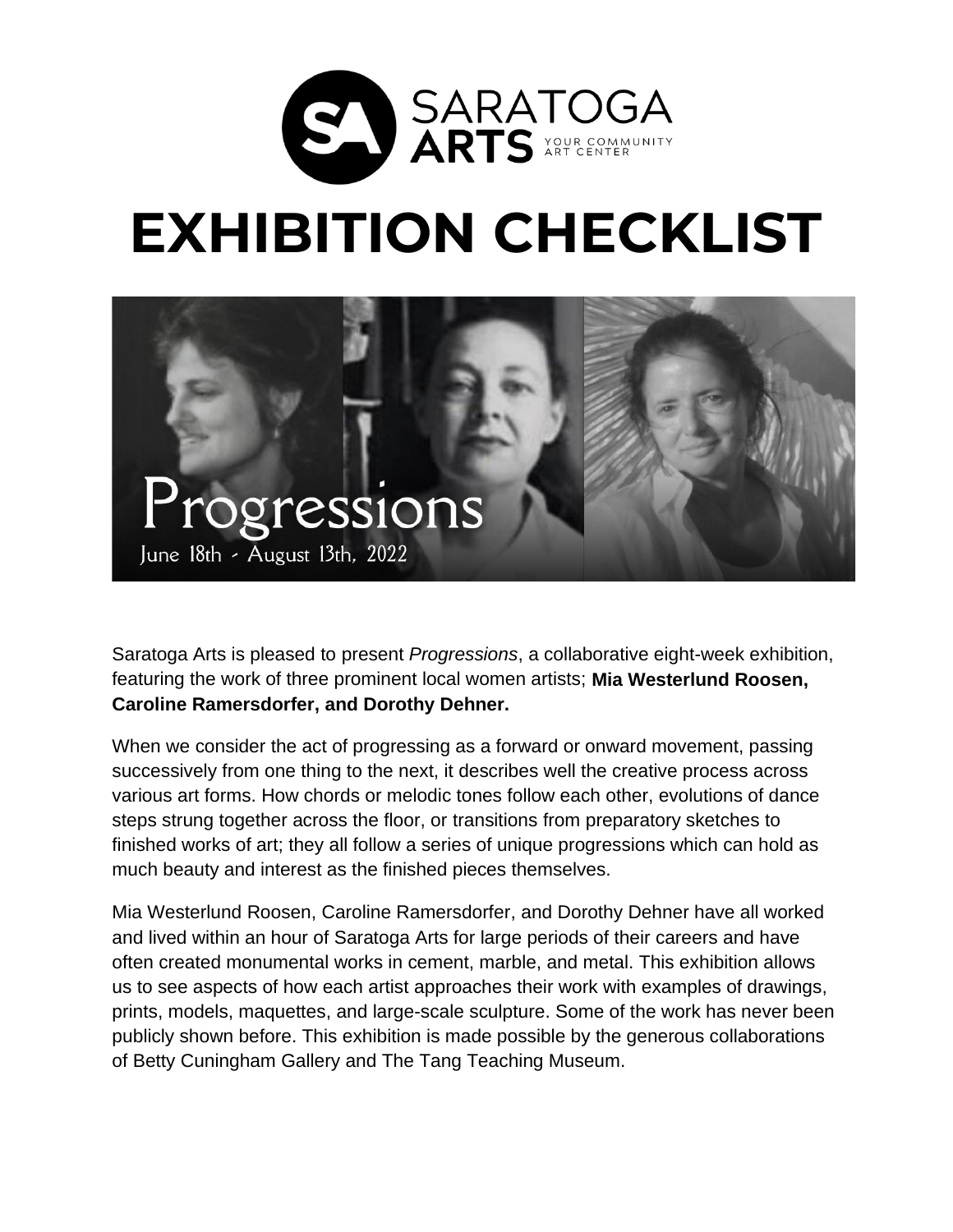

## **EXHIBITION CHECKLIST**



Saratoga Arts is pleased to present *Progressions*, a collaborative eight-week exhibition, featuring the work of three prominent local women artists; **Mia Westerlund Roosen, Caroline Ramersdorfer, and Dorothy Dehner.**

When we consider the act of progressing as a forward or onward movement, passing successively from one thing to the next, it describes well the creative process across various art forms. How chords or melodic tones follow each other, evolutions of dance steps strung together across the floor, or transitions from preparatory sketches to finished works of art; they all follow a series of unique progressions which can hold as much beauty and interest as the finished pieces themselves.

Mia Westerlund Roosen, Caroline Ramersdorfer, and Dorothy Dehner have all worked and lived within an hour of Saratoga Arts for large periods of their careers and have often created monumental works in cement, marble, and metal. This exhibition allows us to see aspects of how each artist approaches their work with examples of drawings, prints, models, maquettes, and large-scale sculpture. Some of the work has never been publicly shown before. This exhibition is made possible by the generous collaborations of Betty Cuningham Gallery and The Tang Teaching Museum.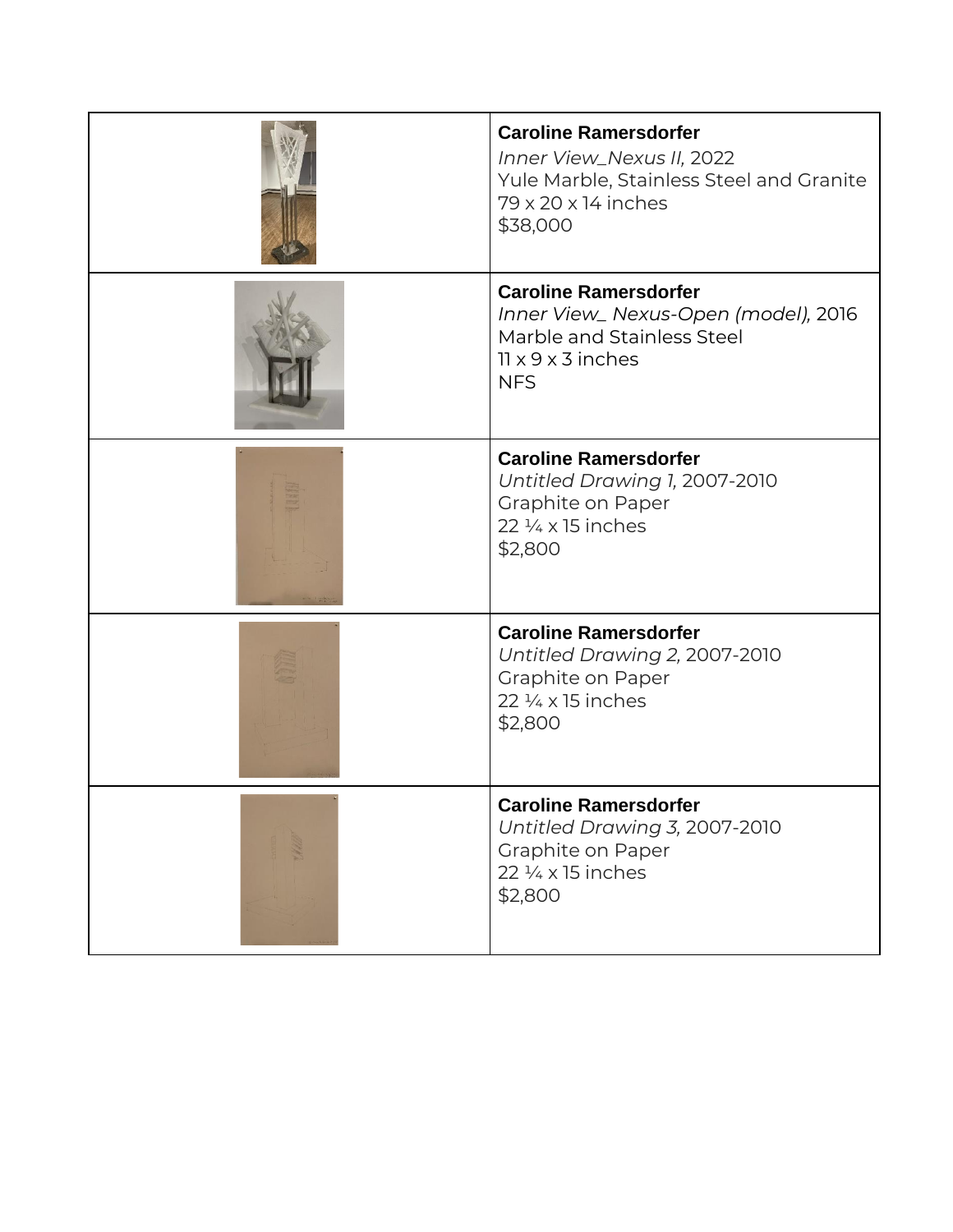| <b>Caroline Ramersdorfer</b><br>Inner View_Nexus II, 2022<br>Yule Marble, Stainless Steel and Granite<br>79 x 20 x 14 inches<br>\$38,000          |
|---------------------------------------------------------------------------------------------------------------------------------------------------|
| <b>Caroline Ramersdorfer</b><br>Inner View_ Nexus-Open (model), 2016<br>Marble and Stainless Steel<br>$11 \times 9 \times 3$ inches<br><b>NFS</b> |
| <b>Caroline Ramersdorfer</b><br>Untitled Drawing 1, 2007-2010<br>Graphite on Paper<br>22 $\frac{1}{4}$ x 15 inches<br>\$2,800                     |
| <b>Caroline Ramersdorfer</b><br>Untitled Drawing 2, 2007-2010<br>Graphite on Paper<br>22 1/4 x 15 inches<br>\$2,800                               |
| <b>Caroline Ramersdorfer</b><br>Untitled Drawing 3, 2007-2010<br>Graphite on Paper<br>22 1/4 x 15 inches<br>\$2,800                               |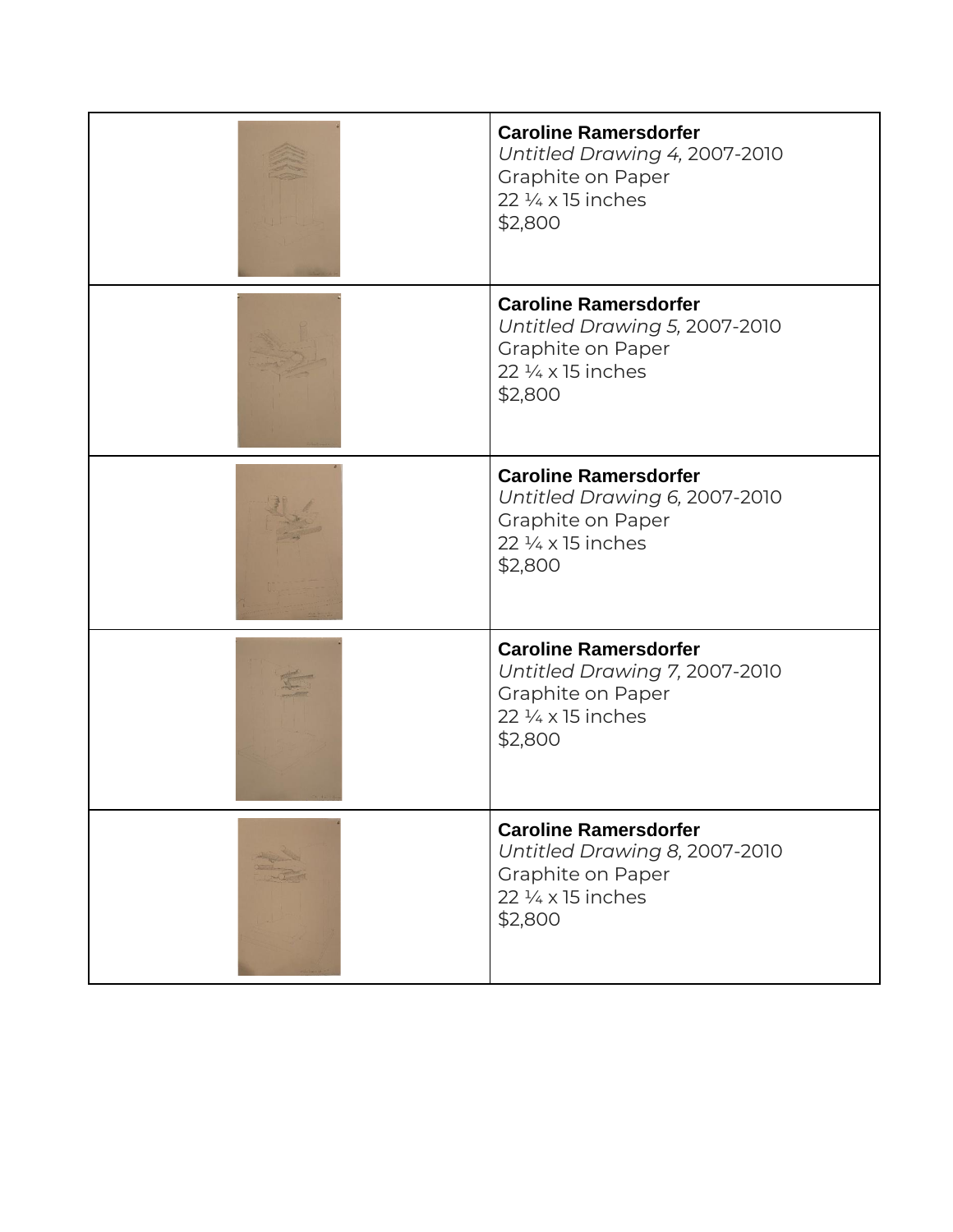| <b>Caroline Ramersdorfer</b><br>Untitled Drawing 4, 2007-2010<br>Graphite on Paper<br>22 1/4 x 15 inches<br>\$2,800           |
|-------------------------------------------------------------------------------------------------------------------------------|
| <b>Caroline Ramersdorfer</b><br>Untitled Drawing 5, 2007-2010<br>Graphite on Paper<br>22 1/4 x 15 inches<br>\$2,800           |
| <b>Caroline Ramersdorfer</b><br>Untitled Drawing 6, 2007-2010<br>Graphite on Paper<br>22 $\frac{1}{4}$ x 15 inches<br>\$2,800 |
| <b>Caroline Ramersdorfer</b><br>Untitled Drawing 7, 2007-2010<br>Graphite on Paper<br>$22\frac{1}{4}$ x 15 inches<br>\$2,800  |
| <b>Caroline Ramersdorfer</b><br>Untitled Drawing 8, 2007-2010<br>Graphite on Paper<br>22 1/4 x 15 inches<br>\$2,800           |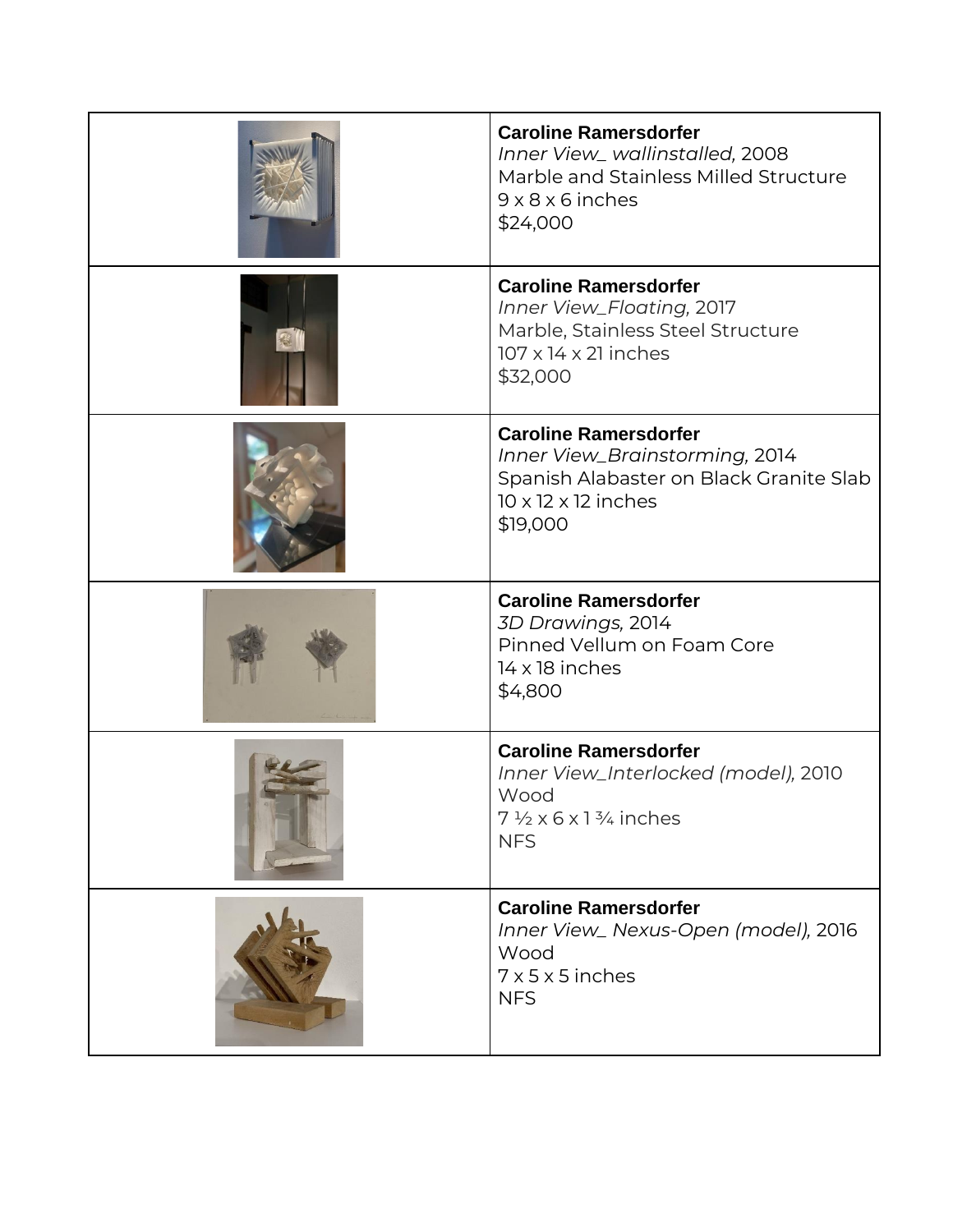| <b>Caroline Ramersdorfer</b><br>Inner View_wallinstalled, 2008<br>Marble and Stainless Milled Structure<br>$9 \times 8 \times 6$ inches<br>\$24,000      |
|----------------------------------------------------------------------------------------------------------------------------------------------------------|
| <b>Caroline Ramersdorfer</b><br>Inner View_Floating, 2017<br>Marble, Stainless Steel Structure<br>$107 \times 14 \times 21$ inches<br>\$32,000           |
| <b>Caroline Ramersdorfer</b><br>Inner View_Brainstorming, 2014<br>Spanish Alabaster on Black Granite Slab<br>$10 \times 12 \times 12$ inches<br>\$19,000 |
| <b>Caroline Ramersdorfer</b>                                                                                                                             |
| 3D Drawings, 2014<br>Pinned Vellum on Foam Core<br>14 x 18 inches<br>\$4,800                                                                             |
| <b>Caroline Ramersdorfer</b><br>Inner View_Interlocked (model), 2010<br>Wood<br>$7\frac{1}{2} \times 6 \times 1\frac{3}{4}$ inches<br><b>NFS</b>         |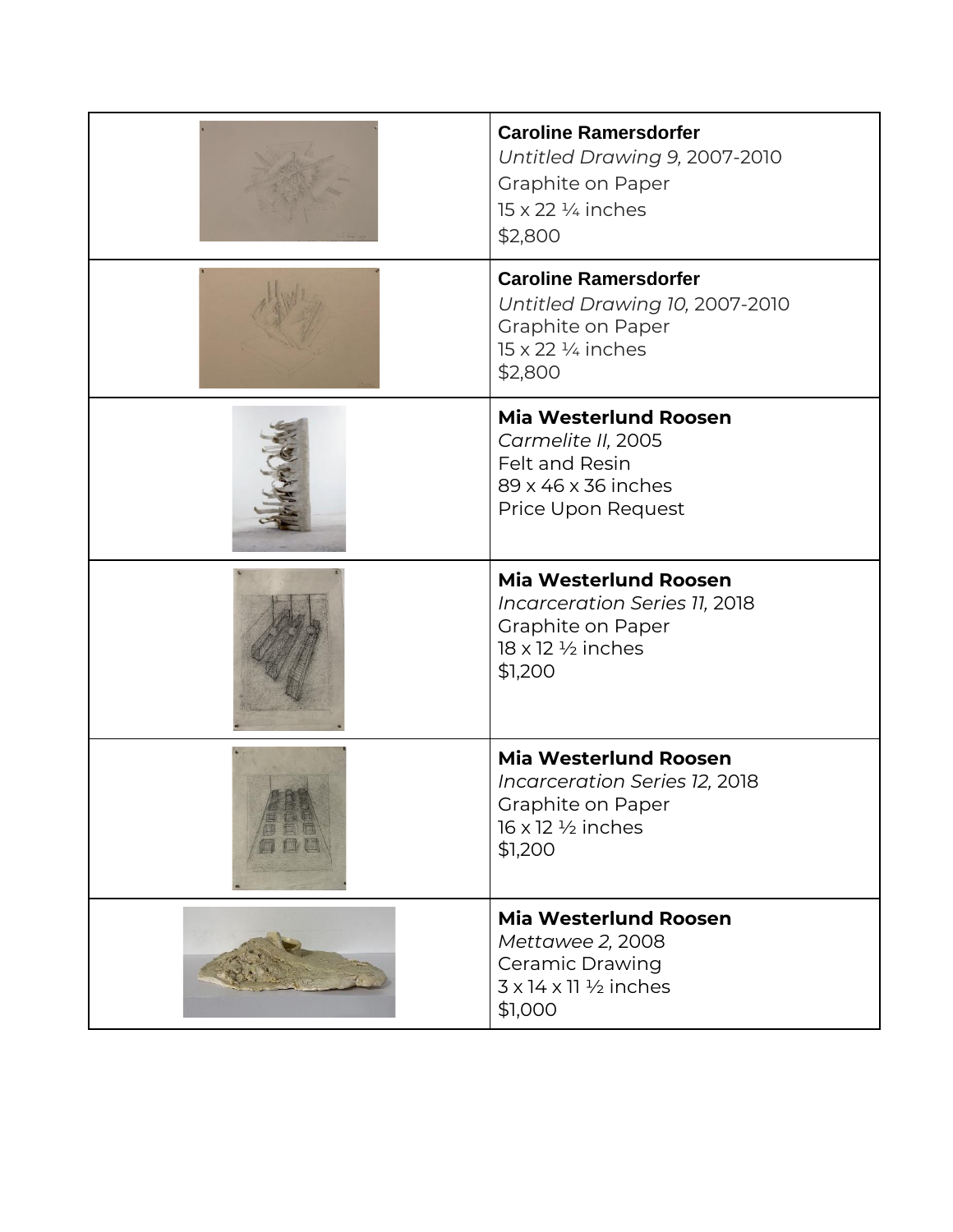| <b>Caroline Ramersdorfer</b><br>Untitled Drawing 9, 2007-2010<br>Graphite on Paper<br>$15 \times 22$ ¼ inches<br>\$2,800           |
|------------------------------------------------------------------------------------------------------------------------------------|
| <b>Caroline Ramersdorfer</b><br>Untitled Drawing 10, 2007-2010<br>Graphite on Paper<br>$15 \times 22$ ¼ inches<br>\$2,800          |
| <b>Mia Westerlund Roosen</b><br>Carmelite II, 2005<br>Felt and Resin<br>89 x 46 x 36 inches<br>Price Upon Request                  |
| <b>Mia Westerlund Roosen</b><br>Incarceration Series 11, 2018<br>Graphite on Paper<br>18 x 12 1/2 inches<br>\$1,200                |
| <b>Mia Westerlund Roosen</b><br>Incarceration Series 12, 2018<br>Graphite on Paper<br>$16 \times 12 \frac{1}{2}$ inches<br>\$1,200 |
| <b>Mia Westerlund Roosen</b><br>Mettawee 2, 2008<br>Ceramic Drawing<br>$3 \times 14 \times 11$ $\frac{1}{2}$ inches<br>\$1,000     |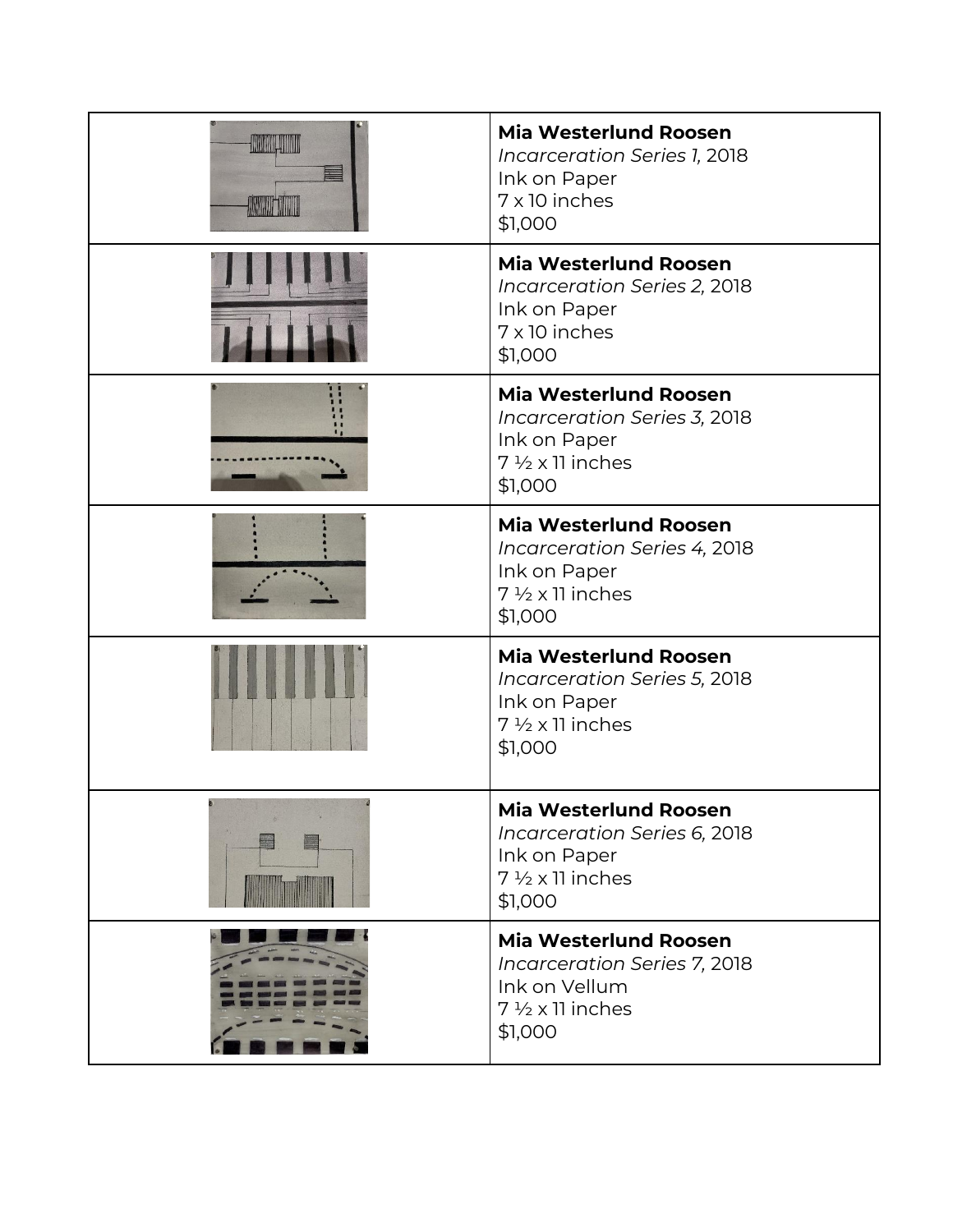| <b>HUARD HITTI</b><br><b>ALCOHOL: NEW</b> | <b>Mia Westerlund Roosen</b><br>Incarceration Series 1, 2018<br>Ink on Paper<br>7 x 10 inches<br>\$1,000                    |
|-------------------------------------------|-----------------------------------------------------------------------------------------------------------------------------|
|                                           | <b>Mia Westerlund Roosen</b><br>Incarceration Series 2, 2018<br>Ink on Paper<br>7 x 10 inches<br>\$1,000                    |
|                                           | <b>Mia Westerlund Roosen</b><br>Incarceration Series 3, 2018<br>Ink on Paper<br>$7\frac{1}{2}$ x 11 inches<br>\$1,000       |
|                                           | <b>Mia Westerlund Roosen</b><br>Incarceration Series 4, 2018<br>Ink on Paper<br>$7\frac{1}{2}$ x 11 inches<br>\$1,000       |
|                                           | <b>Mia Westerlund Roosen</b><br>Incarceration Series 5, 2018<br>Ink on Paper<br>$7\frac{1}{2}$ x 11 inches<br>\$1,000       |
|                                           | <b>Mia Westerlund Roosen</b><br>Incarceration Series 6, 2018<br>Ink on Paper<br>$7\frac{1}{2} \times 11$ inches<br>\$1,000  |
|                                           | <b>Mia Westerlund Roosen</b><br>Incarceration Series 7, 2018<br>Ink on Vellum<br>$7\frac{1}{2} \times 11$ inches<br>\$1,000 |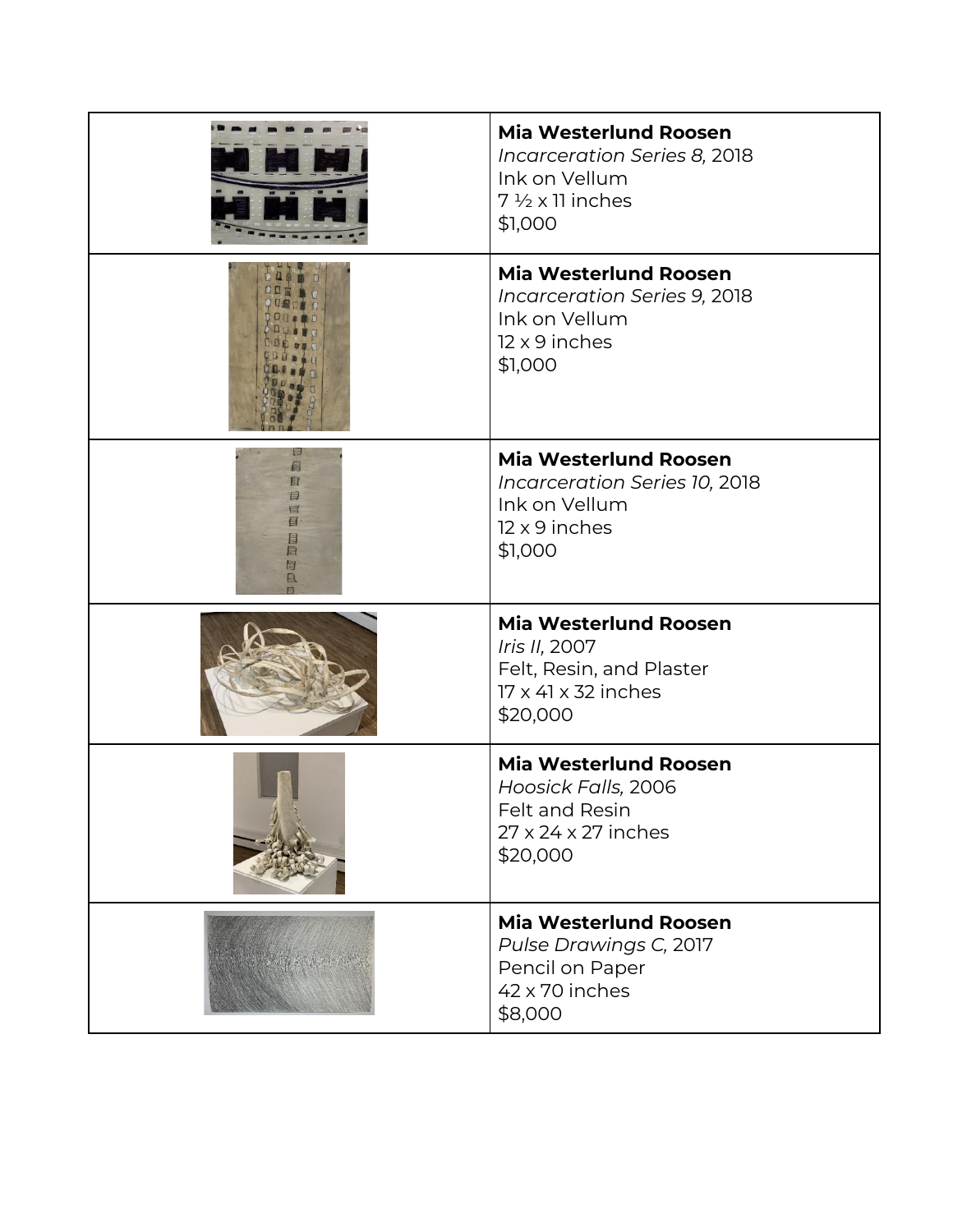| <b>Mia Westerlund Roosen</b><br>Incarceration Series 8, 2018<br>Ink on Vellum<br>$7\frac{1}{2}$ x 11 inches<br>\$1,000 |
|------------------------------------------------------------------------------------------------------------------------|
| <b>Mia Westerlund Roosen</b><br>Incarceration Series 9, 2018<br>Ink on Vellum<br>12 x 9 inches<br>\$1,000              |
| <b>Mia Westerlund Roosen</b><br>Incarceration Series 10, 2018<br>Ink on Vellum<br>12 x 9 inches<br>\$1,000             |
| <b>Mia Westerlund Roosen</b><br>Iris II, 2007<br>Felt, Resin, and Plaster<br>17 x 41 x 32 inches<br>\$20,000           |
| <b>Mia Westerlund Roosen</b><br>Hoosick Falls, 2006<br>Felt and Resin<br>27 x 24 x 27 inches<br>\$20,000               |
| <b>Mia Westerlund Roosen</b><br>Pulse Drawings C, 2017<br>Pencil on Paper<br>42 x 70 inches<br>\$8,000                 |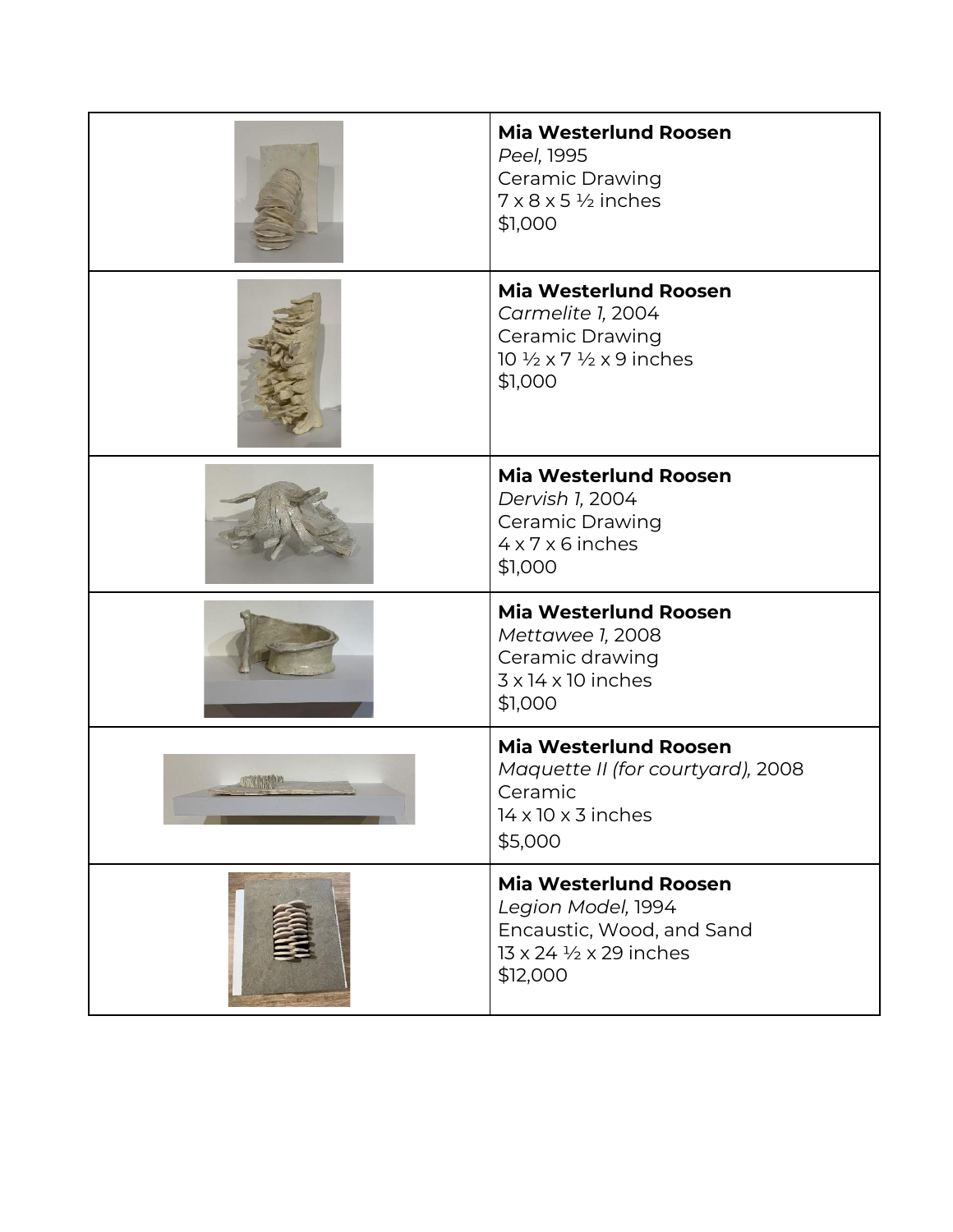|                | <b>Mia Westerlund Roosen</b><br>Peel, 1995<br><b>Ceramic Drawing</b><br>$7 \times 8 \times 5 \frac{1}{2}$ inches<br>\$1,000                     |
|----------------|-------------------------------------------------------------------------------------------------------------------------------------------------|
|                | <b>Mia Westerlund Roosen</b><br>Carmelite 1, 2004<br><b>Ceramic Drawing</b><br>10 $\frac{1}{2} \times 7 \frac{1}{2} \times 9$ inches<br>\$1,000 |
|                | <b>Mia Westerlund Roosen</b><br>Dervish 1, 2004<br>Ceramic Drawing<br>$4 \times 7 \times 6$ inches<br>\$1,000                                   |
|                | <b>Mia Westerlund Roosen</b><br>Mettawee 1, 2008<br>Ceramic drawing<br>$3 \times 14 \times 10$ inches<br>\$1,000                                |
| <b>TANK IN</b> | <b>Mia Westerlund Roosen</b><br>Maquette II (for courtyard), 2008<br>Ceramic<br>$14 \times 10 \times 3$ inches<br>\$5,000                       |
|                | <b>Mia Westerlund Roosen</b><br>Legion Model, 1994<br>Encaustic, Wood, and Sand<br>13 x 24 1/2 x 29 inches<br>\$12,000                          |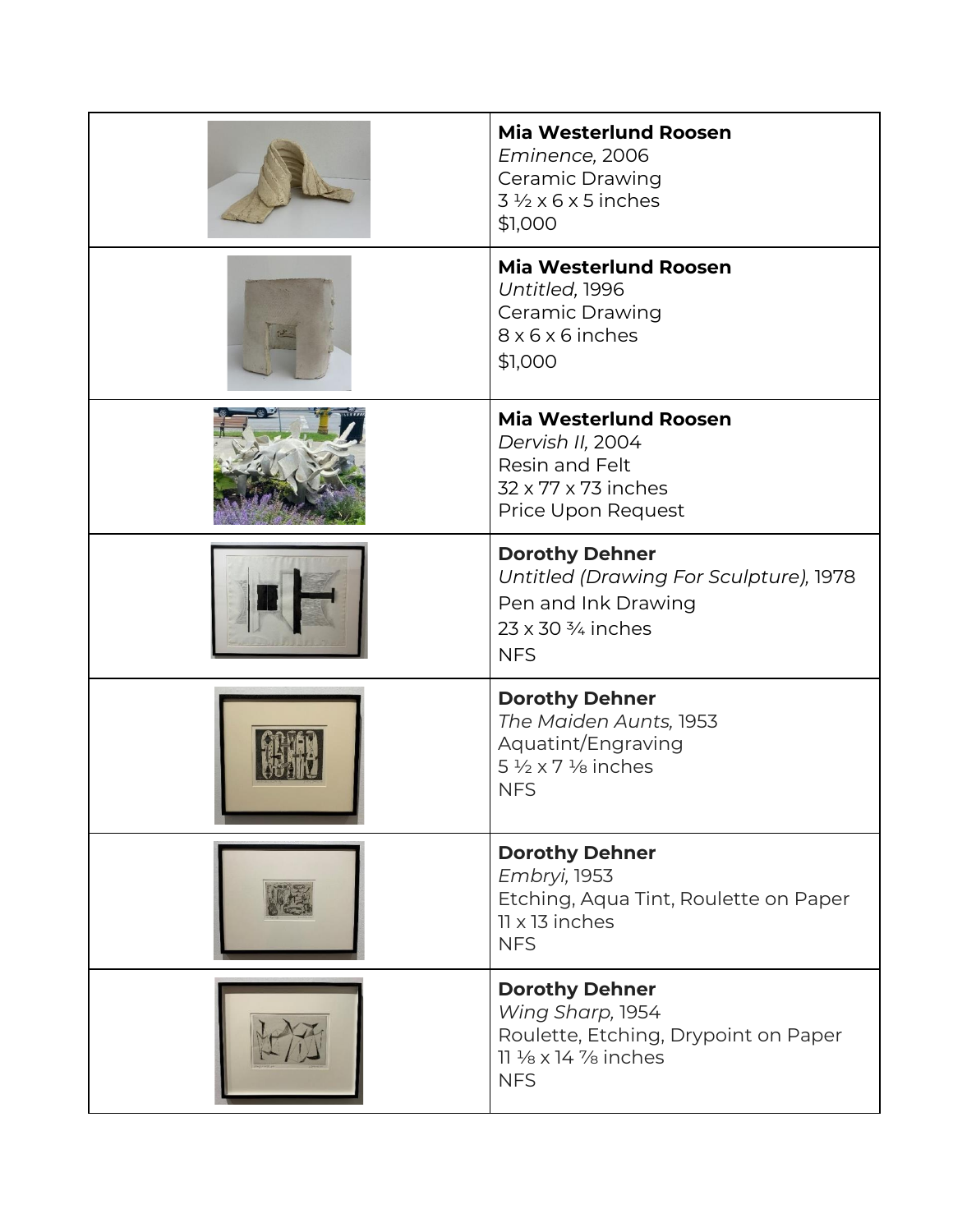| <b>Mia Westerlund Roosen</b><br>Eminence, 2006<br><b>Ceramic Drawing</b><br>$3\frac{1}{2} \times 6 \times 5$ inches<br>\$1,000                 |
|------------------------------------------------------------------------------------------------------------------------------------------------|
| <b>Mia Westerlund Roosen</b><br>Untitled, 1996<br><b>Ceramic Drawing</b><br>8 x 6 x 6 inches<br>\$1,000                                        |
| <b>Mia Westerlund Roosen</b><br>Dervish II, 2004<br>Resin and Felt<br>32 x 77 x 73 inches<br>Price Upon Request                                |
| <b>Dorothy Dehner</b><br>Untitled (Drawing For Sculpture), 1978<br>Pen and Ink Drawing<br>$23 \times 30\frac{3}{4}$ inches<br><b>NFS</b>       |
| <b>Dorothy Dehner</b><br>The Maiden Aunts, 1953<br>Aquatint/Engraving<br>5 $\frac{1}{2} \times 7$ $\frac{1}{8}$ inches<br><b>NFS</b>           |
| <b>Dorothy Dehner</b><br>Embryi, 1953<br>Etching, Aqua Tint, Roulette on Paper<br>$11 \times 13$ inches<br><b>NFS</b>                          |
| <b>Dorothy Dehner</b><br>Wing Sharp, 1954<br>Roulette, Etching, Drypoint on Paper<br>$11\frac{1}{8} \times 14\frac{7}{8}$ inches<br><b>NFS</b> |